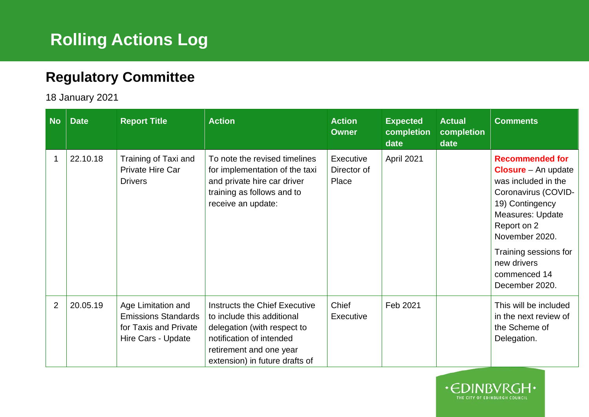## **Rolling Actions Log**

## **Regulatory Committee**

## 18 January 2021

| <b>No</b>      | <b>Date</b> | <b>Report Title</b>                                                                             | <b>Action</b>                                                                                                                                                                       | <b>Action</b><br><b>Owner</b>     | <b>Expected</b><br>completion<br>date | <b>Actual</b><br>completion<br>date | <b>Comments</b>                                                                                                                                                                                                                                             |
|----------------|-------------|-------------------------------------------------------------------------------------------------|-------------------------------------------------------------------------------------------------------------------------------------------------------------------------------------|-----------------------------------|---------------------------------------|-------------------------------------|-------------------------------------------------------------------------------------------------------------------------------------------------------------------------------------------------------------------------------------------------------------|
|                | 22.10.18    | Training of Taxi and<br>Private Hire Car<br><b>Drivers</b>                                      | To note the revised timelines<br>for implementation of the taxi<br>and private hire car driver<br>training as follows and to<br>receive an update:                                  | Executive<br>Director of<br>Place | April 2021                            |                                     | <b>Recommended for</b><br><b>Closure</b> – An update<br>was included in the<br>Coronavirus (COVID-<br>19) Contingency<br><b>Measures: Update</b><br>Report on 2<br>November 2020.<br>Training sessions for<br>new drivers<br>commenced 14<br>December 2020. |
| $\overline{2}$ | 20.05.19    | Age Limitation and<br><b>Emissions Standards</b><br>for Taxis and Private<br>Hire Cars - Update | Instructs the Chief Executive<br>to include this additional<br>delegation (with respect to<br>notification of intended<br>retirement and one year<br>extension) in future drafts of | Chief<br>Executive                | Feb 2021                              |                                     | This will be included<br>in the next review of<br>the Scheme of<br>Delegation.                                                                                                                                                                              |

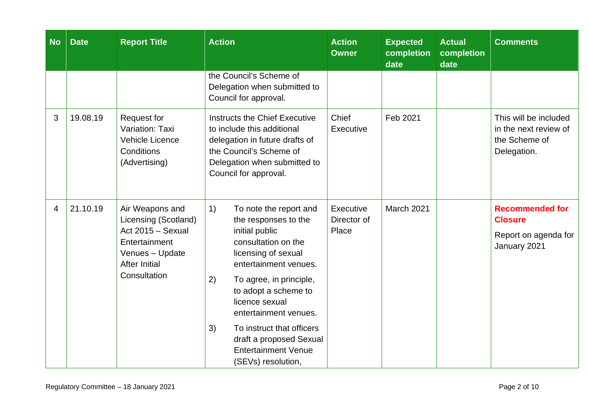| <b>No</b> | <b>Date</b> | <b>Report Title</b>                                                                                                                      | <b>Action</b>                                                                                                                                                                                                                                                                                                                                                       | <b>Action</b><br><b>Owner</b>     | <b>Expected</b><br>completion<br>date | <b>Actual</b><br>completion<br>date | <b>Comments</b>                                                                  |
|-----------|-------------|------------------------------------------------------------------------------------------------------------------------------------------|---------------------------------------------------------------------------------------------------------------------------------------------------------------------------------------------------------------------------------------------------------------------------------------------------------------------------------------------------------------------|-----------------------------------|---------------------------------------|-------------------------------------|----------------------------------------------------------------------------------|
|           |             |                                                                                                                                          | the Council's Scheme of<br>Delegation when submitted to<br>Council for approval.                                                                                                                                                                                                                                                                                    |                                   |                                       |                                     |                                                                                  |
| 3         | 19.08.19    | Request for<br>Variation: Taxi<br><b>Vehicle Licence</b><br>Conditions<br>(Advertising)                                                  | Instructs the Chief Executive<br>to include this additional<br>delegation in future drafts of<br>the Council's Scheme of<br>Delegation when submitted to<br>Council for approval.                                                                                                                                                                                   | Chief<br>Executive                | Feb 2021                              |                                     | This will be included<br>in the next review of<br>the Scheme of<br>Delegation.   |
| 4         | 21.10.19    | Air Weapons and<br>Licensing (Scotland)<br>Act 2015 - Sexual<br>Entertainment<br>Venues - Update<br><b>After Initial</b><br>Consultation | 1)<br>To note the report and<br>the responses to the<br>initial public<br>consultation on the<br>licensing of sexual<br>entertainment venues.<br>2)<br>To agree, in principle,<br>to adopt a scheme to<br>licence sexual<br>entertainment venues.<br>3)<br>To instruct that officers<br>draft a proposed Sexual<br><b>Entertainment Venue</b><br>(SEVs) resolution, | Executive<br>Director of<br>Place | March 2021                            |                                     | <b>Recommended for</b><br><b>Closure</b><br>Report on agenda for<br>January 2021 |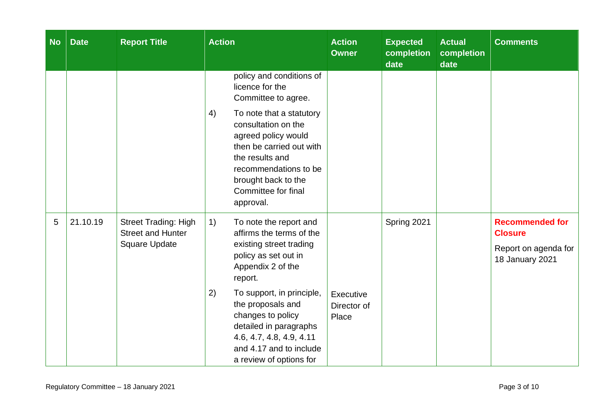| <b>No</b> | <b>Date</b> | <b>Report Title</b>                                                             | $\overline{\mathsf{Action}}$                                                                                                                                                                                                                                                                                                         | <b>Action</b><br><b>Owner</b>     | <b>Expected</b><br>completion<br>date | <b>Actual</b><br>completion<br>date | <b>Comments</b>                                                                     |
|-----------|-------------|---------------------------------------------------------------------------------|--------------------------------------------------------------------------------------------------------------------------------------------------------------------------------------------------------------------------------------------------------------------------------------------------------------------------------------|-----------------------------------|---------------------------------------|-------------------------------------|-------------------------------------------------------------------------------------|
|           |             |                                                                                 | policy and conditions of<br>licence for the<br>Committee to agree.<br>4)<br>To note that a statutory<br>consultation on the<br>agreed policy would<br>then be carried out with<br>the results and<br>recommendations to be<br>brought back to the<br>Committee for final<br>approval.                                                |                                   |                                       |                                     |                                                                                     |
| 5         | 21.10.19    | <b>Street Trading: High</b><br><b>Street and Hunter</b><br><b>Square Update</b> | 1)<br>To note the report and<br>affirms the terms of the<br>existing street trading<br>policy as set out in<br>Appendix 2 of the<br>report.<br>2)<br>To support, in principle,<br>the proposals and<br>changes to policy<br>detailed in paragraphs<br>4.6, 4.7, 4.8, 4.9, 4.11<br>and 4.17 and to include<br>a review of options for | Executive<br>Director of<br>Place | Spring 2021                           |                                     | <b>Recommended for</b><br><b>Closure</b><br>Report on agenda for<br>18 January 2021 |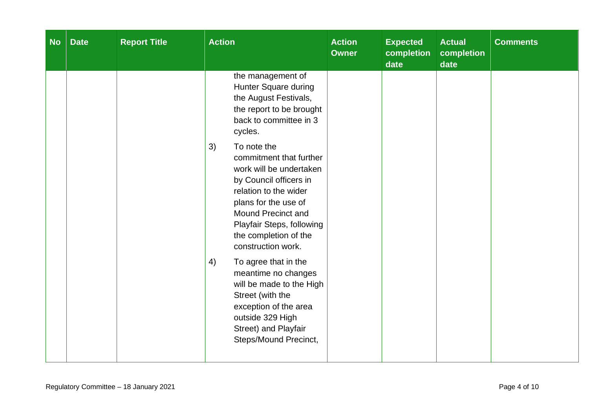| <b>No</b> | <b>Date</b> | <b>Report Title</b> | <b>Action</b>                                                                                                                                                                                                                                               | <b>Action</b><br><b>Owner</b> | <b>Expected</b><br>completion<br>date | <b>Actual</b><br>completion<br>date | <b>Comments</b> |
|-----------|-------------|---------------------|-------------------------------------------------------------------------------------------------------------------------------------------------------------------------------------------------------------------------------------------------------------|-------------------------------|---------------------------------------|-------------------------------------|-----------------|
|           |             |                     | the management of<br>Hunter Square during<br>the August Festivals,<br>the report to be brought<br>back to committee in 3<br>cycles.                                                                                                                         |                               |                                       |                                     |                 |
|           |             |                     | 3)<br>To note the<br>commitment that further<br>work will be undertaken<br>by Council officers in<br>relation to the wider<br>plans for the use of<br><b>Mound Precinct and</b><br>Playfair Steps, following<br>the completion of the<br>construction work. |                               |                                       |                                     |                 |
|           |             |                     | 4)<br>To agree that in the<br>meantime no changes<br>will be made to the High<br>Street (with the<br>exception of the area<br>outside 329 High<br>Street) and Playfair<br>Steps/Mound Precinct,                                                             |                               |                                       |                                     |                 |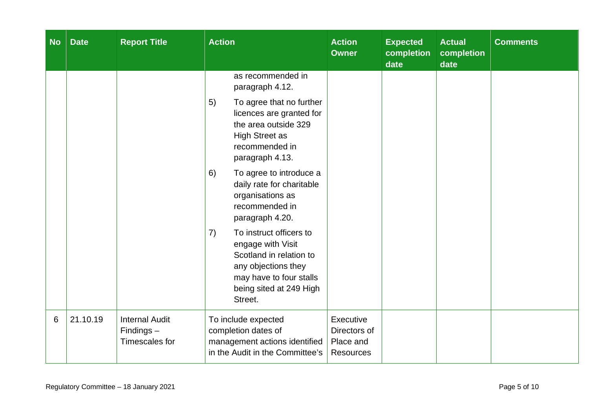| <b>No</b> | <b>Date</b> | <b>Report Title</b>                                     | <b>Action</b>                                                                                                                                                         | <b>Action</b><br><b>Owner</b>                              | <b>Expected</b><br>completion<br>date | <b>Actual</b><br>completion<br>date | <b>Comments</b> |
|-----------|-------------|---------------------------------------------------------|-----------------------------------------------------------------------------------------------------------------------------------------------------------------------|------------------------------------------------------------|---------------------------------------|-------------------------------------|-----------------|
|           |             |                                                         | as recommended in<br>paragraph 4.12.                                                                                                                                  |                                                            |                                       |                                     |                 |
|           |             |                                                         | 5)<br>To agree that no further<br>licences are granted for<br>the area outside 329<br><b>High Street as</b><br>recommended in<br>paragraph 4.13.                      |                                                            |                                       |                                     |                 |
|           |             |                                                         | 6)<br>To agree to introduce a<br>daily rate for charitable<br>organisations as<br>recommended in<br>paragraph 4.20.                                                   |                                                            |                                       |                                     |                 |
|           |             |                                                         | To instruct officers to<br>7)<br>engage with Visit<br>Scotland in relation to<br>any objections they<br>may have to four stalls<br>being sited at 249 High<br>Street. |                                                            |                                       |                                     |                 |
| 6         | 21.10.19    | <b>Internal Audit</b><br>$Findings -$<br>Timescales for | To include expected<br>completion dates of<br>management actions identified<br>in the Audit in the Committee's                                                        | Executive<br>Directors of<br>Place and<br><b>Resources</b> |                                       |                                     |                 |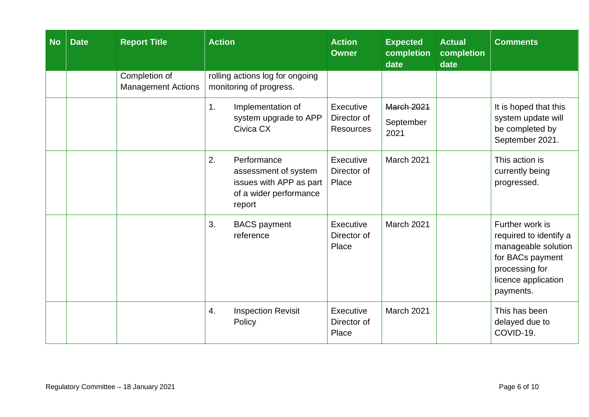| <b>No</b> | <b>Date</b> | <b>Report Title</b>                        | <b>Action</b>                                                                                            | <b>Action</b><br><b>Owner</b>                | <b>Expected</b><br>completion<br>date  | <b>Actual</b><br>completion<br>date | <b>Comments</b>                                                                                                                            |
|-----------|-------------|--------------------------------------------|----------------------------------------------------------------------------------------------------------|----------------------------------------------|----------------------------------------|-------------------------------------|--------------------------------------------------------------------------------------------------------------------------------------------|
|           |             | Completion of<br><b>Management Actions</b> | rolling actions log for ongoing<br>monitoring of progress.                                               |                                              |                                        |                                     |                                                                                                                                            |
|           |             |                                            | Implementation of<br>1.<br>system upgrade to APP<br>Civica CX                                            | Executive<br>Director of<br><b>Resources</b> | <b>March 2021</b><br>September<br>2021 |                                     | It is hoped that this<br>system update will<br>be completed by<br>September 2021.                                                          |
|           |             |                                            | 2.<br>Performance<br>assessment of system<br>issues with APP as part<br>of a wider performance<br>report | Executive<br>Director of<br>Place            | March 2021                             |                                     | This action is<br>currently being<br>progressed.                                                                                           |
|           |             |                                            | 3.<br><b>BACS</b> payment<br>reference                                                                   | Executive<br>Director of<br>Place            | March 2021                             |                                     | Further work is<br>required to identify a<br>manageable solution<br>for BACs payment<br>processing for<br>licence application<br>payments. |
|           |             |                                            | 4.<br><b>Inspection Revisit</b><br>Policy                                                                | Executive<br>Director of<br>Place            | <b>March 2021</b>                      |                                     | This has been<br>delayed due to<br>COVID-19.                                                                                               |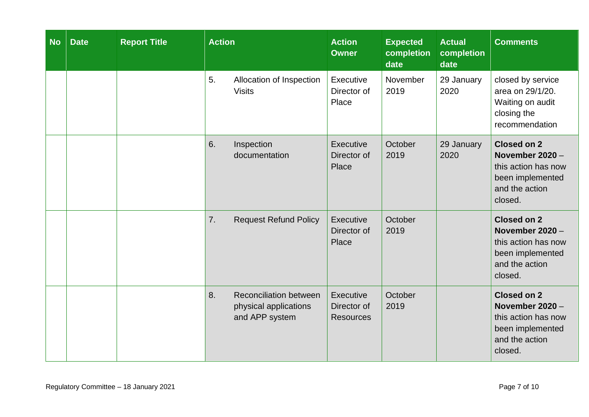| <b>No</b> | <b>Date</b> | <b>Report Title</b> | <b>Action</b>                                                                  | <b>Action</b><br><b>Owner</b>                | <b>Expected</b><br>completion<br>date | <b>Actual</b><br>completion<br>date | <b>Comments</b>                                                                                                 |
|-----------|-------------|---------------------|--------------------------------------------------------------------------------|----------------------------------------------|---------------------------------------|-------------------------------------|-----------------------------------------------------------------------------------------------------------------|
|           |             |                     | 5.<br>Allocation of Inspection<br><b>Visits</b>                                | Executive<br>Director of<br>Place            | November<br>2019                      | 29 January<br>2020                  | closed by service<br>area on 29/1/20.<br>Waiting on audit<br>closing the<br>recommendation                      |
|           |             |                     | 6.<br>Inspection<br>documentation                                              | Executive<br>Director of<br>Place            | October<br>2019                       | 29 January<br>2020                  | <b>Closed on 2</b><br>November $2020 -$<br>this action has now<br>been implemented<br>and the action<br>closed. |
|           |             |                     | 7.<br><b>Request Refund Policy</b>                                             | Executive<br>Director of<br>Place            | October<br>2019                       |                                     | <b>Closed on 2</b><br>November 2020 -<br>this action has now<br>been implemented<br>and the action<br>closed.   |
|           |             |                     | 8.<br><b>Reconciliation between</b><br>physical applications<br>and APP system | Executive<br>Director of<br><b>Resources</b> | October<br>2019                       |                                     | <b>Closed on 2</b><br>November 2020 -<br>this action has now<br>been implemented<br>and the action<br>closed.   |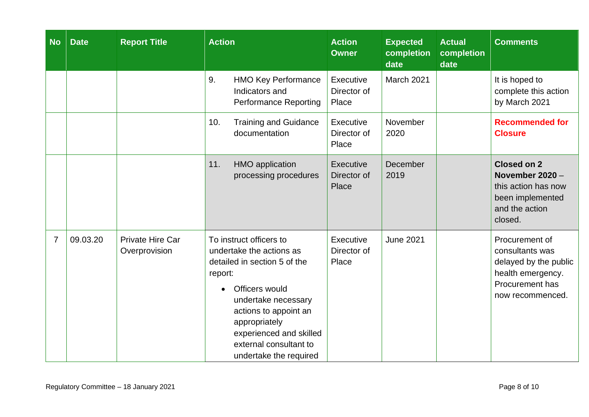| <b>No</b>      | <b>Date</b> | <b>Report Title</b>                      | <b>Action</b>                                                                                                                                                                                                                                                                 | <b>Action</b><br><b>Owner</b>     | <b>Expected</b><br>completion<br>date | <b>Actual</b><br>completion<br>date | <b>Comments</b>                                                                                                        |
|----------------|-------------|------------------------------------------|-------------------------------------------------------------------------------------------------------------------------------------------------------------------------------------------------------------------------------------------------------------------------------|-----------------------------------|---------------------------------------|-------------------------------------|------------------------------------------------------------------------------------------------------------------------|
|                |             |                                          | 9.<br><b>HMO Key Performance</b><br>Indicators and<br><b>Performance Reporting</b>                                                                                                                                                                                            | Executive<br>Director of<br>Place | March 2021                            |                                     | It is hoped to<br>complete this action<br>by March 2021                                                                |
|                |             |                                          | <b>Training and Guidance</b><br>10.<br>documentation                                                                                                                                                                                                                          | Executive<br>Director of<br>Place | November<br>2020                      |                                     | <b>Recommended for</b><br><b>Closure</b>                                                                               |
|                |             |                                          | 11.<br><b>HMO</b> application<br>processing procedures                                                                                                                                                                                                                        | Executive<br>Director of<br>Place | December<br>2019                      |                                     | <b>Closed on 2</b><br>November 2020 -<br>this action has now<br>been implemented<br>and the action<br>closed.          |
| $\overline{7}$ | 09.03.20    | <b>Private Hire Car</b><br>Overprovision | To instruct officers to<br>undertake the actions as<br>detailed in section 5 of the<br>report:<br>Officers would<br>$\bullet$<br>undertake necessary<br>actions to appoint an<br>appropriately<br>experienced and skilled<br>external consultant to<br>undertake the required | Executive<br>Director of<br>Place | <b>June 2021</b>                      |                                     | Procurement of<br>consultants was<br>delayed by the public<br>health emergency.<br>Procurement has<br>now recommenced. |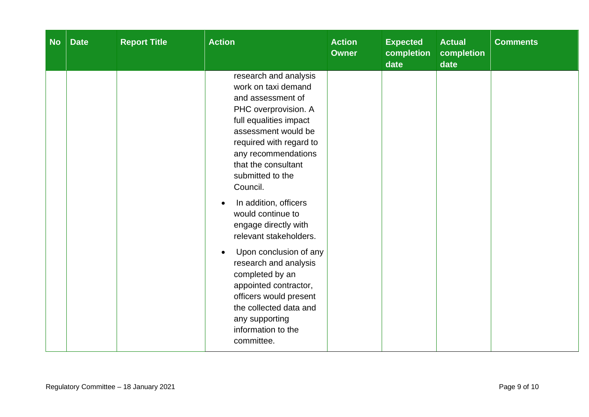| <b>No</b> | <b>Date</b> | <b>Report Title</b> | <b>Action</b>                                                                                                                                                                                                                                                                                                                                                                                                                                                                                                                                                | <b>Action</b><br><b>Owner</b> | <b>Expected</b><br>completion<br>date | <b>Actual</b><br>completion<br>date | <b>Comments</b> |
|-----------|-------------|---------------------|--------------------------------------------------------------------------------------------------------------------------------------------------------------------------------------------------------------------------------------------------------------------------------------------------------------------------------------------------------------------------------------------------------------------------------------------------------------------------------------------------------------------------------------------------------------|-------------------------------|---------------------------------------|-------------------------------------|-----------------|
|           |             |                     | research and analysis<br>work on taxi demand<br>and assessment of<br>PHC overprovision. A<br>full equalities impact<br>assessment would be<br>required with regard to<br>any recommendations<br>that the consultant<br>submitted to the<br>Council.<br>In addition, officers<br>would continue to<br>engage directly with<br>relevant stakeholders.<br>Upon conclusion of any<br>research and analysis<br>completed by an<br>appointed contractor,<br>officers would present<br>the collected data and<br>any supporting<br>information to the<br>committee. |                               |                                       |                                     |                 |